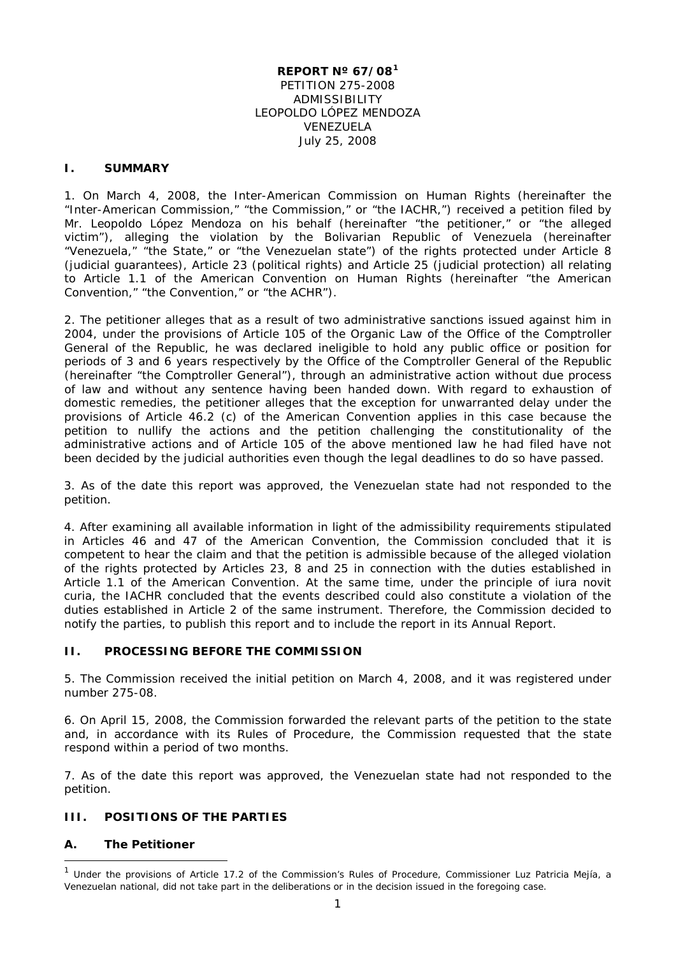### **REPORT Nº 67/08[1](#page-0-0)** PETITION 275-2008 ADMISSIBILITY LEOPOLDO LÓPEZ MENDOZA VENEZUELA July 25, 2008

### **I. SUMMARY**

1. On March 4, 2008, the Inter-American Commission on Human Rights (hereinafter the "Inter-American Commission," "the Commission," or "the IACHR,") received a petition filed by Mr. Leopoldo López Mendoza on his behalf (hereinafter "the petitioner," or "the alleged victim"), alleging the violation by the Bolivarian Republic of Venezuela (hereinafter "Venezuela," "the State," or "the Venezuelan state") of the rights protected under Article 8 (judicial guarantees), Article 23 (political rights) and Article 25 (judicial protection) all relating to Article 1.1 of the American Convention on Human Rights (hereinafter "the American Convention," "the Convention," or "the ACHR").

2. The petitioner alleges that as a result of two administrative sanctions issued against him in 2004, under the provisions of Article 105 of the Organic Law of the Office of the Comptroller General of the Republic, he was declared ineligible to hold any public office or position for periods of 3 and 6 years respectively by the Office of the Comptroller General of the Republic (hereinafter "the Comptroller General"), through an administrative action without due process of law and without any sentence having been handed down. With regard to exhaustion of domestic remedies, the petitioner alleges that the exception for unwarranted delay under the provisions of Article 46.2 (c) of the American Convention applies in this case because the petition to nullify the actions and the petition challenging the constitutionality of the administrative actions and of Article 105 of the above mentioned law he had filed have not been decided by the judicial authorities even though the legal deadlines to do so have passed.

3. As of the date this report was approved, the Venezuelan state had not responded to the petition.

4. After examining all available information in light of the admissibility requirements stipulated in Articles 46 and 47 of the American Convention, the Commission concluded that it is competent to hear the claim and that the petition is admissible because of the alleged violation of the rights protected by Articles 23, 8 and 25 in connection with the duties established in Article 1.1 of the American Convention. At the same time, under the principle of *iura novit curia,* the IACHR concluded that the events described could also constitute a violation of the duties established in Article 2 of the same instrument. Therefore, the Commission decided to notify the parties, to publish this report and to include the report in its Annual Report.

### **II. PROCESSING BEFORE THE COMMISSION**

5. The Commission received the initial petition on March 4, 2008, and it was registered under number 275-08.

6. On April 15, 2008, the Commission forwarded the relevant parts of the petition to the state and, in accordance with its Rules of Procedure, the Commission requested that the state respond within a period of two months.

7. As of the date this report was approved, the Venezuelan state had not responded to the petition.

#### **III. POSITIONS OF THE PARTIES**

### **A. The Petitioner**

<span id="page-0-0"></span>Under the provisions of Article 17.2 of the Commission's Rules of Procedure, Commissioner Luz Patricia Mejía, a Venezuelan national, did not take part in the deliberations or in the decision issued in the foregoing case.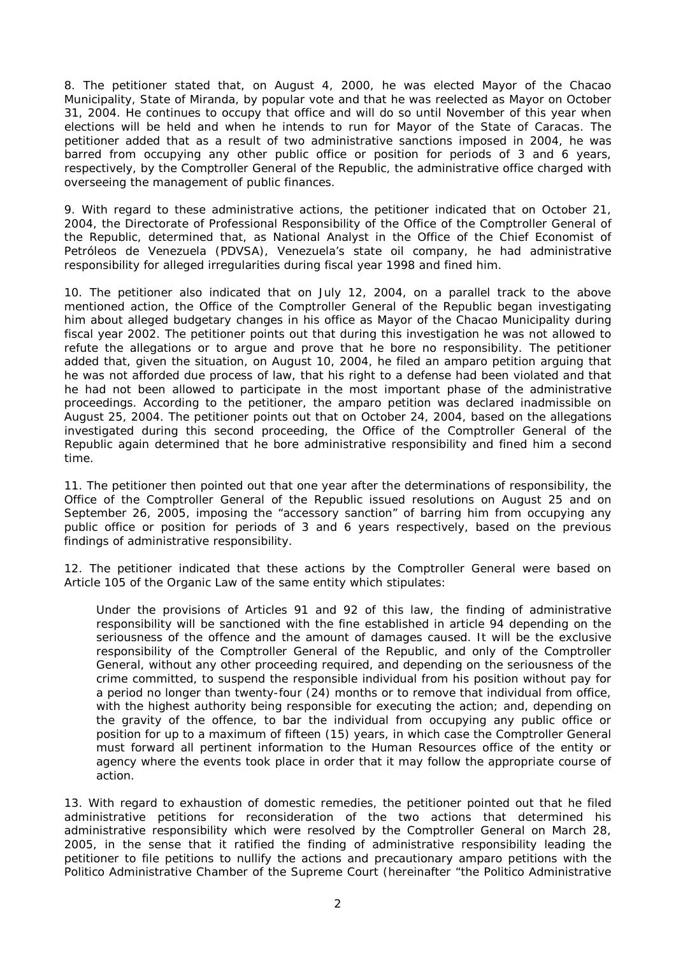8. The petitioner stated that, on August 4, 2000, he was elected Mayor of the Chacao Municipality, State of Miranda, by popular vote and that he was reelected as Mayor on October 31, 2004. He continues to occupy that office and will do so until November of this year when elections will be held and when he intends to run for Mayor of the State of Caracas. The petitioner added that as a result of two administrative sanctions imposed in 2004, he was barred from occupying any other public office or position for periods of 3 and 6 years, respectively, by the Comptroller General of the Republic, the administrative office charged with overseeing the management of public finances.

9. With regard to these administrative actions, the petitioner indicated that on October 21, 2004, the Directorate of Professional Responsibility of the Office of the Comptroller General of the Republic, determined that, as National Analyst in the Office of the Chief Economist of Petróleos de Venezuela (PDVSA), Venezuela's state oil company, he had administrative responsibility for alleged irregularities during fiscal year 1998 and fined him.

10. The petitioner also indicated that on July 12, 2004, on a parallel track to the above mentioned action, the Office of the Comptroller General of the Republic began investigating him about alleged budgetary changes in his office as Mayor of the Chacao Municipality during fiscal year 2002. The petitioner points out that during this investigation he was not allowed to refute the allegations or to argue and prove that he bore no responsibility. The petitioner added that, given the situation, on August 10, 2004, he filed an amparo petition arguing that he was not afforded due process of law, that his right to a defense had been violated and that he had not been allowed to participate in the most important phase of the administrative proceedings. According to the petitioner, the amparo petition was declared inadmissible on August 25, 2004. The petitioner points out that on October 24, 2004, based on the allegations investigated during this second proceeding, the Office of the Comptroller General of the Republic again determined that he bore administrative responsibility and fined him a second time.

11. The petitioner then pointed out that one year after the determinations of responsibility, the Office of the Comptroller General of the Republic issued resolutions on August 25 and on September 26, 2005, imposing the "accessory sanction" of barring him from occupying any public office or position for periods of 3 and 6 years respectively, based on the previous findings of administrative responsibility.

12. The petitioner indicated that these actions by the Comptroller General were based on Article 105 of the Organic Law of the same entity which stipulates:

Under the provisions of Articles 91 and 92 of this law, the finding of administrative responsibility will be sanctioned with the fine established in article 94 depending on the seriousness of the offence and the amount of damages caused. It will be the exclusive responsibility of the Comptroller General of the Republic, and only of the Comptroller General, without any other proceeding required, and depending on the seriousness of the crime committed, to suspend the responsible individual from his position without pay for a period no longer than twenty-four (24) months or to remove that individual from office, with the highest authority being responsible for executing the action; and, depending on the gravity of the offence, to bar the individual from occupying any public office or position for up to a maximum of fifteen (15) years, in which case the Comptroller General must forward all pertinent information to the Human Resources office of the entity or agency where the events took place in order that it may follow the appropriate course of action.

13. With regard to exhaustion of domestic remedies, the petitioner pointed out that he filed administrative petitions for reconsideration of the two actions that determined his administrative responsibility which were resolved by the Comptroller General on March 28, 2005, in the sense that it ratified the finding of administrative responsibility leading the petitioner to file petitions to nullify the actions and precautionary amparo petitions with the Politico Administrative Chamber of the Supreme Court (hereinafter "the Politico Administrative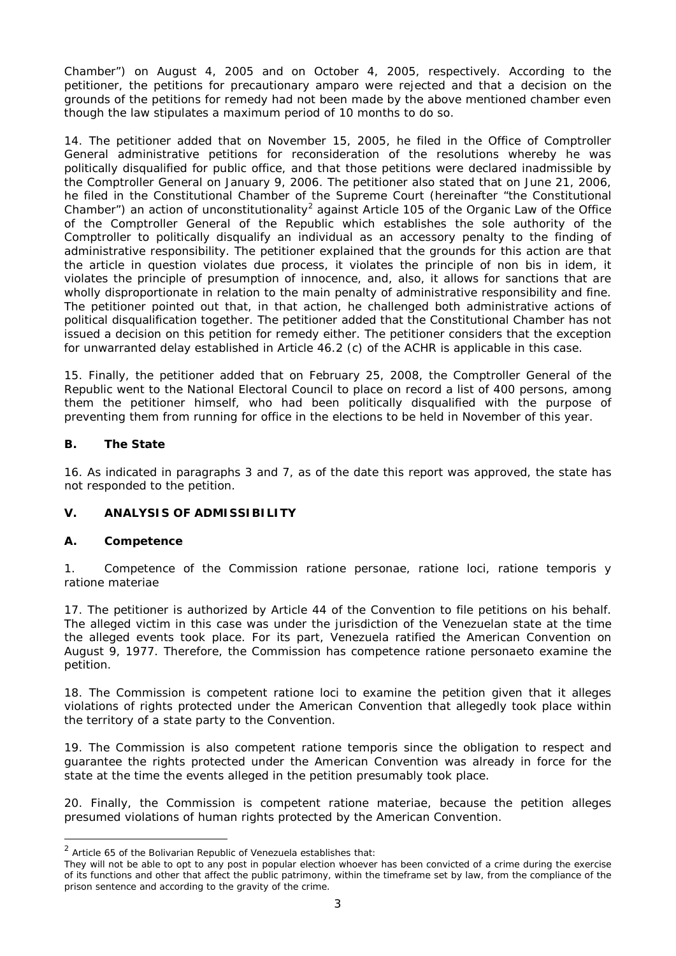Chamber") on August 4, 2005 and on October 4, 2005, respectively. According to the petitioner, the petitions for precautionary amparo were rejected and that a decision on the grounds of the petitions for remedy had not been made by the above mentioned chamber even though the law stipulates a maximum period of 10 months to do so.

14. The petitioner added that on November 15, 2005, he filed in the Office of Comptroller General administrative petitions for reconsideration of the resolutions whereby he was politically disqualified for public office, and that those petitions were declared inadmissible by the Comptroller General on January 9, 2006. The petitioner also stated that on June 21, 2006, he filed in the Constitutional Chamber of the Supreme Court (hereinafter "the Constitutional Chamber") an action of unconstitutionality<sup>[2](#page-2-0)</sup> against Article 105 of the Organic Law of the Office of the Comptroller General of the Republic which establishes the sole authority of the Comptroller to politically disqualify an individual as an accessory penalty to the finding of administrative responsibility. The petitioner explained that the grounds for this action are that the article in question violates due process, it violates the principle of *non bis in idem*, it violates the principle of presumption of innocence, and, also, it allows for sanctions that are wholly disproportionate in relation to the main penalty of administrative responsibility and fine. The petitioner pointed out that, in that action, he challenged both administrative actions of political disqualification together. The petitioner added that the Constitutional Chamber has not issued a decision on this petition for remedy either. The petitioner considers that the exception for unwarranted delay established in Article 46.2 (c) of the ACHR is applicable in this case.

15. Finally, the petitioner added that on February 25, 2008, the Comptroller General of the Republic went to the National Electoral Council to place on record a list of 400 persons, among them the petitioner himself, who had been politically disqualified with the purpose of preventing them from running for office in the elections to be held in November of this year.

### **B. The State**

16. As indicated in paragraphs 3 and 7, as of the date this report was approved, the state has not responded to the petition.

# **V. ANALYSIS OF ADMISSIBILITY**

### **A. Competence**

1. Competence of the Commission *ratione personae*, *ratione loci*, *ratione temporis* y *ratione materiae*

17. The petitioner is authorized by Article 44 of the Convention to file petitions on his behalf. The alleged victim in this case was under the jurisdiction of the Venezuelan state at the time the alleged events took place. For its part, Venezuela ratified the American Convention on August 9, 1977. Therefore, the Commission has competence *ratione personae*to examine the petition.

18. The Commission is competent *ratione loci* to examine the petition given that it alleges violations of rights protected under the American Convention that allegedly took place within the territory of a state party to the Convention.

19. The Commission is also competent *ratione temporis* since the obligation to respect and guarantee the rights protected under the American Convention was already in force for the state at the time the events alleged in the petition presumably took place.

20. Finally, the Commission is competent *ratione materiae*, because the petition alleges presumed violations of human rights protected by the American Convention.

<span id="page-2-0"></span> $2$  Article 65 of the Bolivarian Republic of Venezuela establishes that:

They will not be able to opt to any post in popular election whoever has been convicted of a crime during the exercise of its functions and other that affect the public patrimony, within the timeframe set by law, from the compliance of the prison sentence and according to the gravity of the crime.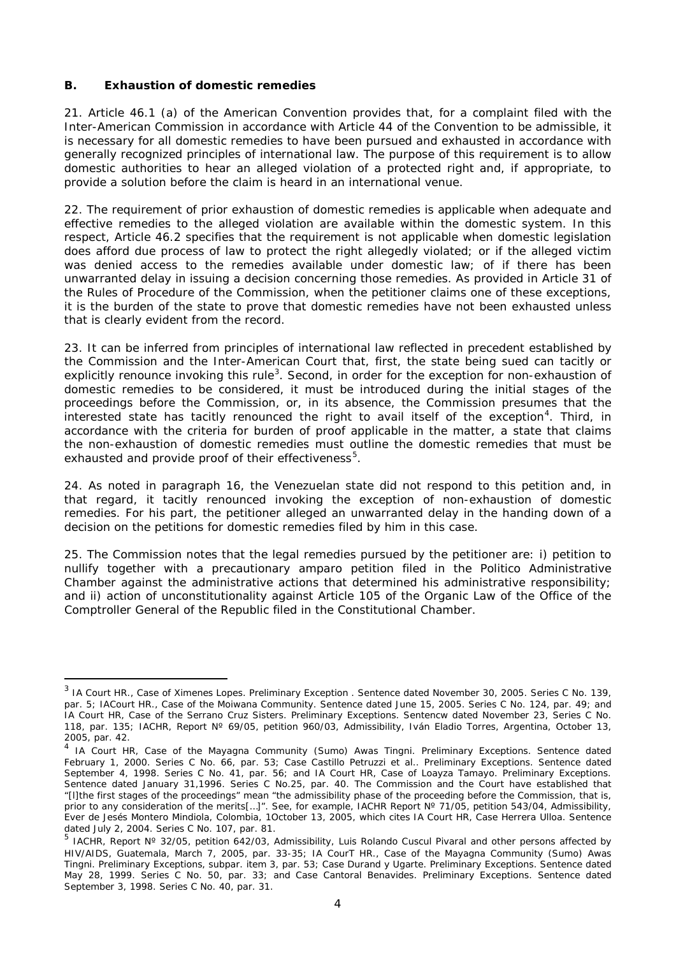### **B. Exhaustion of domestic remedies**

21. Article 46.1 (a) of the American Convention provides that, for a complaint filed with the Inter-American Commission in accordance with Article 44 of the Convention to be admissible, it is necessary for all domestic remedies to have been pursued and exhausted in accordance with generally recognized principles of international law. The purpose of this requirement is to allow domestic authorities to hear an alleged violation of a protected right and, if appropriate, to provide a solution before the claim is heard in an international venue.

22. The requirement of prior exhaustion of domestic remedies is applicable when adequate and effective remedies to the alleged violation are available within the domestic system. In this respect, Article 46.2 specifies that the requirement is not applicable when domestic legislation does afford due process of law to protect the right allegedly violated; or if the alleged victim was denied access to the remedies available under domestic law; of if there has been unwarranted delay in issuing a decision concerning those remedies. As provided in Article 31 of the Rules of Procedure of the Commission, when the petitioner claims one of these exceptions, it is the burden of the state to prove that domestic remedies have not been exhausted unless that is clearly evident from the record.

23. It can be inferred from principles of international law reflected in precedent established by the Commission and the Inter-American Court that, first, the state being sued can tacitly or explicitly renounce invoking this rule $^3$  $^3$ . Second, in order for the exception for non-exhaustion of domestic remedies to be considered, it must be introduced during the initial stages of the proceedings before the Commission, or, in its absence, the Commission presumes that the interested state has tacitly renounced the right to avail itself of the exception<sup>[4](#page-3-1)</sup>. Third, in accordance with the criteria for burden of proof applicable in the matter, a state that claims the non-exhaustion of domestic remedies must outline the domestic remedies that must be exhausted and provide proof of their effectiveness<sup>[5](#page-3-2)</sup>.

24. As noted in paragraph 16, the Venezuelan state did not respond to this petition and, in that regard, it tacitly renounced invoking the exception of non-exhaustion of domestic remedies. For his part, the petitioner alleged an unwarranted delay in the handing down of a decision on the petitions for domestic remedies filed by him in this case.

25. The Commission notes that the legal remedies pursued by the petitioner are: i) petition to nullify together with a precautionary amparo petition filed in the Politico Administrative Chamber against the administrative actions that determined his administrative responsibility; and ii) action of unconstitutionality against Article 105 of the Organic Law of the Office of the Comptroller General of the Republic filed in the Constitutional Chamber.

<span id="page-3-0"></span><sup>&</sup>lt;sup>3</sup> IA Court HR., Case of Ximenes Lopes. Preliminary Exception . Sentence dated November 30, 2005. Series C No. 139, par. 5; IACourt HR., Case of the Moiwana Community. Sentence dated June 15, 2005. Series C No. 124, par. 49; and IA Court HR, Case of the Serrano Cruz Sisters. Preliminary Exceptions. Sentencw dated November 23, Series C No. 118, par. 135; IACHR, Report Nº 69/05, petition 960/03, Admissibility, Iván Eladio Torres, Argentina, October 13, 2005, par. 42.

<span id="page-3-1"></span><sup>&</sup>lt;sup>4</sup> IA Court HR, Case of the Mayagna Community (Sumo) Awas Tingni. Preliminary Exceptions. Sentence dated February 1, 2000. Series C No. 66, par. 53; Case Castillo Petruzzi et al.. Preliminary Exceptions. Sentence dated September 4, 1998. Series C No. 41, par. 56; and IA Court HR, Case of Loayza Tamayo. Preliminary Exceptions. Sentence dated January 31,1996. Series C No.25, par. 40. The Commission and the Court have established that "[l]the first stages of the proceedings" mean "the admissibility phase of the proceeding before the Commission, that is, prior to any consideration of the merits[...]". See, for example, IACHR Report N° 71/05, petition 543/04, Admissibility, Ever de Jesés Montero Mindiola, Colombia, 1October 13, 2005, which cites IA Court HR, Case Herrera Ulloa. Sentence dated July 2, 2004. Series C No. 107, par. 81.

<span id="page-3-2"></span><sup>&</sup>lt;sup>5</sup> IACHR, Report N° 32/05, petition 642/03, Admissibility, Luis Rolando Cuscul Pivaral and other persons affected by HIV/AIDS, Guatemala, March 7, 2005, par. 33-35; IA CourT HR., Case of the Mayagna Community (Sumo) Awas Tingni. Preliminary Exceptions, subpar. item 3, par. 53; Case Durand y Ugarte. Preliminary Exceptions. Sentence dated May 28, 1999. Series C No. 50, par. 33; and Case Cantoral Benavides. Preliminary Exceptions. Sentence dated September 3, 1998. Series C No. 40, par. 31.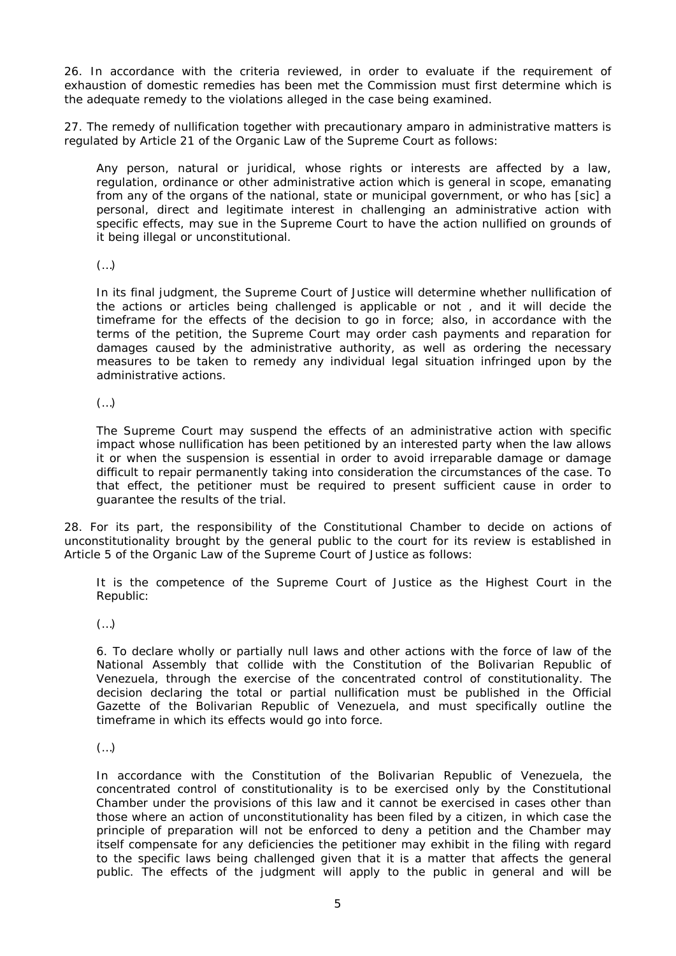26. In accordance with the criteria reviewed, in order to evaluate if the requirement of exhaustion of domestic remedies has been met the Commission must first determine which is the adequate remedy to the violations alleged in the case being examined.

27. The remedy of nullification together with precautionary amparo in administrative matters is regulated by Article 21 of the Organic Law of the Supreme Court as follows:

Any person, natural or juridical, whose rights or interests are affected by a law, regulation, ordinance or other administrative action which is general in scope, emanating from any of the organs of the national, state or municipal government, or who has [sic] a personal, direct and legitimate interest in challenging an administrative action with specific effects, may sue in the Supreme Court to have the action nullified on grounds of it being illegal or unconstitutional.

(…)

In its final judgment, the Supreme Court of Justice will determine whether nullification of the actions or articles being challenged is applicable or not , and it will decide the timeframe for the effects of the decision to go in force; also, in accordance with the terms of the petition, the Supreme Court may order cash payments and reparation for damages caused by the administrative authority, as well as ordering the necessary measures to be taken to remedy any individual legal situation infringed upon by the administrative actions.

(…)

The Supreme Court may suspend the effects of an administrative action with specific impact whose nullification has been petitioned by an interested party when the law allows it or when the suspension is essential in order to avoid irreparable damage or damage difficult to repair permanently taking into consideration the circumstances of the case. To that effect, the petitioner must be required to present sufficient cause in order to guarantee the results of the trial.

28. For its part, the responsibility of the Constitutional Chamber to decide on actions of unconstitutionality brought by the general public to the court for its review is established in Article 5 of the Organic Law of the Supreme Court of Justice as follows:

It is the competence of the Supreme Court of Justice as the Highest Court in the Republic:

(…)

6. To declare wholly or partially null laws and other actions with the force of law of the National Assembly that collide with the Constitution of the Bolivarian Republic of Venezuela, through the exercise of the concentrated control of constitutionality. The decision declaring the total or partial nullification must be published in the Official Gazette of the Bolivarian Republic of Venezuela, and must specifically outline the timeframe in which its effects would go into force.

(…)

In accordance with the Constitution of the Bolivarian Republic of Venezuela, the concentrated control of constitutionality is to be exercised only by the Constitutional Chamber under the provisions of this law and it cannot be exercised in cases other than those where an action of unconstitutionality has been filed by a citizen, in which case the principle of preparation will not be enforced to deny a petition and the Chamber may itself compensate for any deficiencies the petitioner may exhibit in the filing with regard to the specific laws being challenged given that it is a matter that affects the general public. The effects of the judgment will apply to the public in general and will be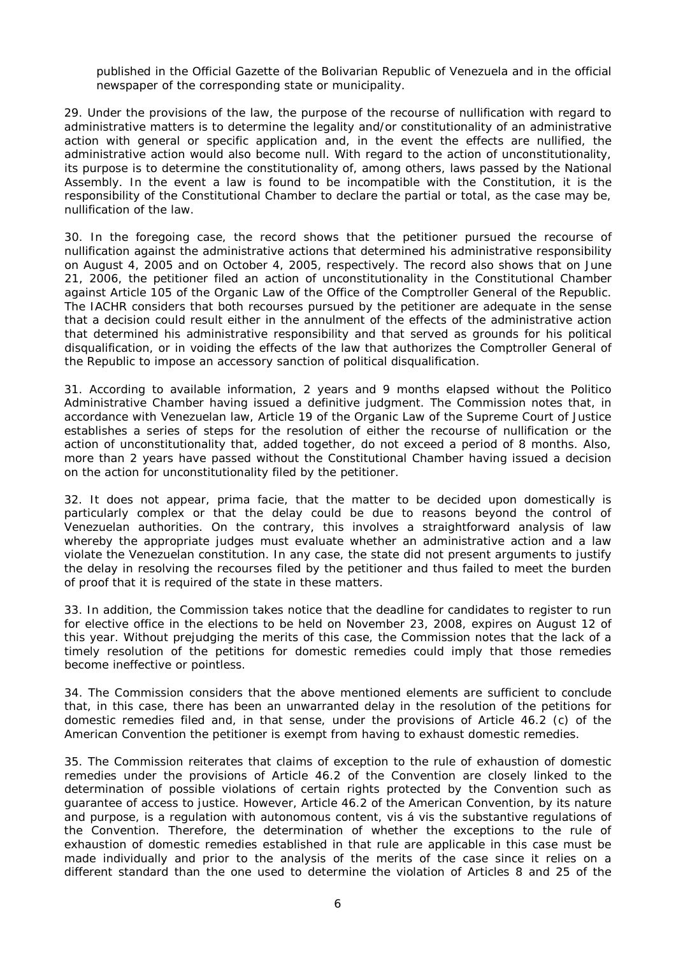published in the Official Gazette of the Bolivarian Republic of Venezuela and in the official newspaper of the corresponding state or municipality.

29. Under the provisions of the law, the purpose of the recourse of nullification with regard to administrative matters is to determine the legality and/or constitutionality of an administrative action with general or specific application and, in the event the effects are nullified, the administrative action would also become null. With regard to the action of unconstitutionality, its purpose is to determine the constitutionality of, among others, laws passed by the National Assembly. In the event a law is found to be incompatible with the Constitution, it is the responsibility of the Constitutional Chamber to declare the partial or total, as the case may be, nullification of the law.

30. In the foregoing case, the record shows that the petitioner pursued the recourse of nullification against the administrative actions that determined his administrative responsibility on August 4, 2005 and on October 4, 2005, respectively. The record also shows that on June 21, 2006, the petitioner filed an action of unconstitutionality in the Constitutional Chamber against Article 105 of the Organic Law of the Office of the Comptroller General of the Republic. The IACHR considers that both recourses pursued by the petitioner are adequate in the sense that a decision could result either in the annulment of the effects of the administrative action that determined his administrative responsibility and that served as grounds for his political disqualification, or in voiding the effects of the law that authorizes the Comptroller General of the Republic to impose an accessory sanction of political disqualification.

31. According to available information, 2 years and 9 months elapsed without the Politico Administrative Chamber having issued a definitive judgment. The Commission notes that, in accordance with Venezuelan law, Article 19 of the Organic Law of the Supreme Court of Justice establishes a series of steps for the resolution of either the recourse of nullification or the action of unconstitutionality that, added together, do not exceed a period of 8 months. Also, more than 2 years have passed without the Constitutional Chamber having issued a decision on the action for unconstitutionality filed by the petitioner.

32. It does not appear, *prima facie*, that the matter to be decided upon domestically is particularly complex or that the delay could be due to reasons beyond the control of Venezuelan authorities. On the contrary, this involves a straightforward analysis of law whereby the appropriate judges must evaluate whether an administrative action and a law violate the Venezuelan constitution. In any case, the state did not present arguments to justify the delay in resolving the recourses filed by the petitioner and thus failed to meet the burden of proof that it is required of the state in these matters.

33. In addition, the Commission takes notice that the deadline for candidates to register to run for elective office in the elections to be held on November 23, 2008, expires on August 12 of this year. Without prejudging the merits of this case, the Commission notes that the lack of a timely resolution of the petitions for domestic remedies could imply that those remedies become ineffective or pointless.

34. The Commission considers that the above mentioned elements are sufficient to conclude that, in this case, there has been an unwarranted delay in the resolution of the petitions for domestic remedies filed and, in that sense, under the provisions of Article 46.2 (c) of the American Convention the petitioner is exempt from having to exhaust domestic remedies.

35. The Commission reiterates that claims of exception to the rule of exhaustion of domestic remedies under the provisions of Article 46.2 of the Convention are closely linked to the determination of possible violations of certain rights protected by the Convention such as guarantee of access to justice. However, Article 46.2 of the American Convention, by its nature and purpose, is a regulation with autonomous content, *vis á vis* the substantive regulations of the Convention. Therefore, the determination of whether the exceptions to the rule of exhaustion of domestic remedies established in that rule are applicable in this case must be made individually and prior to the analysis of the merits of the case since it relies on a different standard than the one used to determine the violation of Articles 8 and 25 of the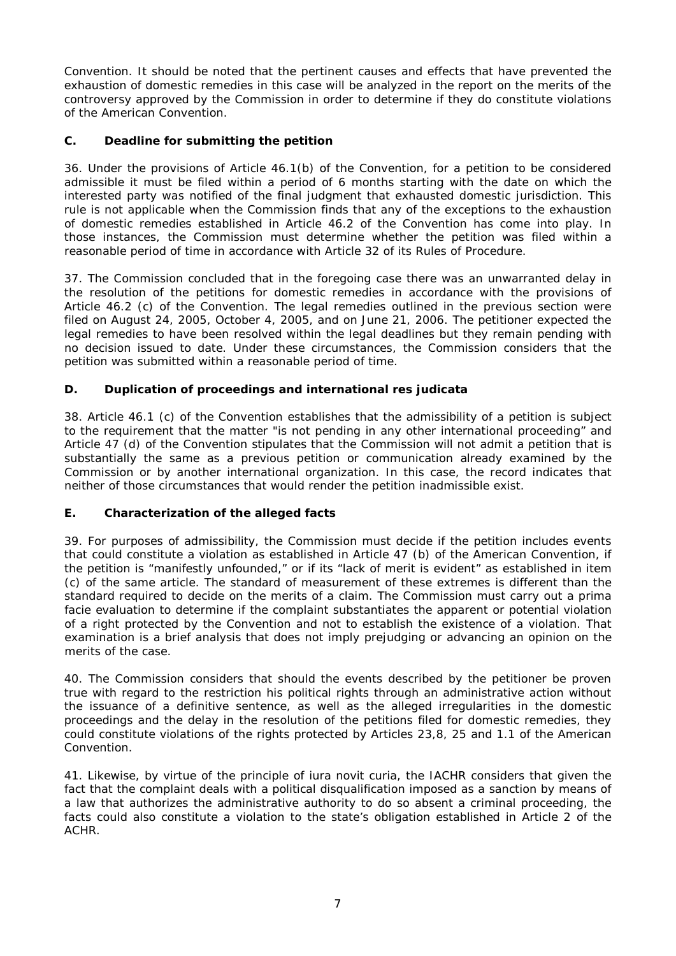Convention. It should be noted that the pertinent causes and effects that have prevented the exhaustion of domestic remedies in this case will be analyzed in the report on the merits of the controversy approved by the Commission in order to determine if they do constitute violations of the American Convention.

# **C. Deadline for submitting the petition**

36. Under the provisions of Article 46.1(b) of the Convention, for a petition to be considered admissible it must be filed within a period of 6 months starting with the date on which the interested party was notified of the final judgment that exhausted domestic jurisdiction. This rule is not applicable when the Commission finds that any of the exceptions to the exhaustion of domestic remedies established in Article 46.2 of the Convention has come into play. In those instances, the Commission must determine whether the petition was filed within a reasonable period of time in accordance with Article 32 of its Rules of Procedure.

37. The Commission concluded that in the foregoing case there was an unwarranted delay in the resolution of the petitions for domestic remedies in accordance with the provisions of Article 46.2 (c) of the Convention. The legal remedies outlined in the previous section were filed on August 24, 2005, October 4, 2005, and on June 21, 2006. The petitioner expected the legal remedies to have been resolved within the legal deadlines but they remain pending with no decision issued to date. Under these circumstances, the Commission considers that the petition was submitted within a reasonable period of time.

# **D. Duplication of proceedings and international** *res judicata*

38. Article 46.1 (c) of the Convention establishes that the admissibility of a petition is subject to the requirement that the matter "is not pending in any other international proceeding" and Article 47 (d) of the Convention stipulates that the Commission will not admit a petition that is substantially the same as a previous petition or communication already examined by the Commission or by another international organization. In this case, the record indicates that neither of those circumstances that would render the petition inadmissible exist.

### **E. Characterization of the alleged facts**

39. For purposes of admissibility, the Commission must decide if the petition includes events that could constitute a violation as established in Article 47 (b) of the American Convention, if the petition is "manifestly unfounded," or if its "lack of merit is evident" as established in item (c) of the same article. The standard of measurement of these extremes is different than the standard required to decide on the merits of a claim. The Commission must carry out a *prima facie* evaluation to determine if the complaint substantiates the apparent or potential violation of a right protected by the Convention and not to establish the existence of a violation. That examination is a brief analysis that does not imply prejudging or advancing an opinion on the merits of the case.

40. The Commission considers that should the events described by the petitioner be proven true with regard to the restriction his political rights through an administrative action without the issuance of a definitive sentence, as well as the alleged irregularities in the domestic proceedings and the delay in the resolution of the petitions filed for domestic remedies, they could constitute violations of the rights protected by Articles 23,8, 25 and 1.1 of the American Convention.

41. Likewise, by virtue of the principle of *iura novit curia,* the IACHR considers that given the fact that the complaint deals with a political disqualification imposed as a sanction by means of a law that authorizes the administrative authority to do so absent a criminal proceeding, the facts could also constitute a violation to the state's obligation established in Article 2 of the ACHR.